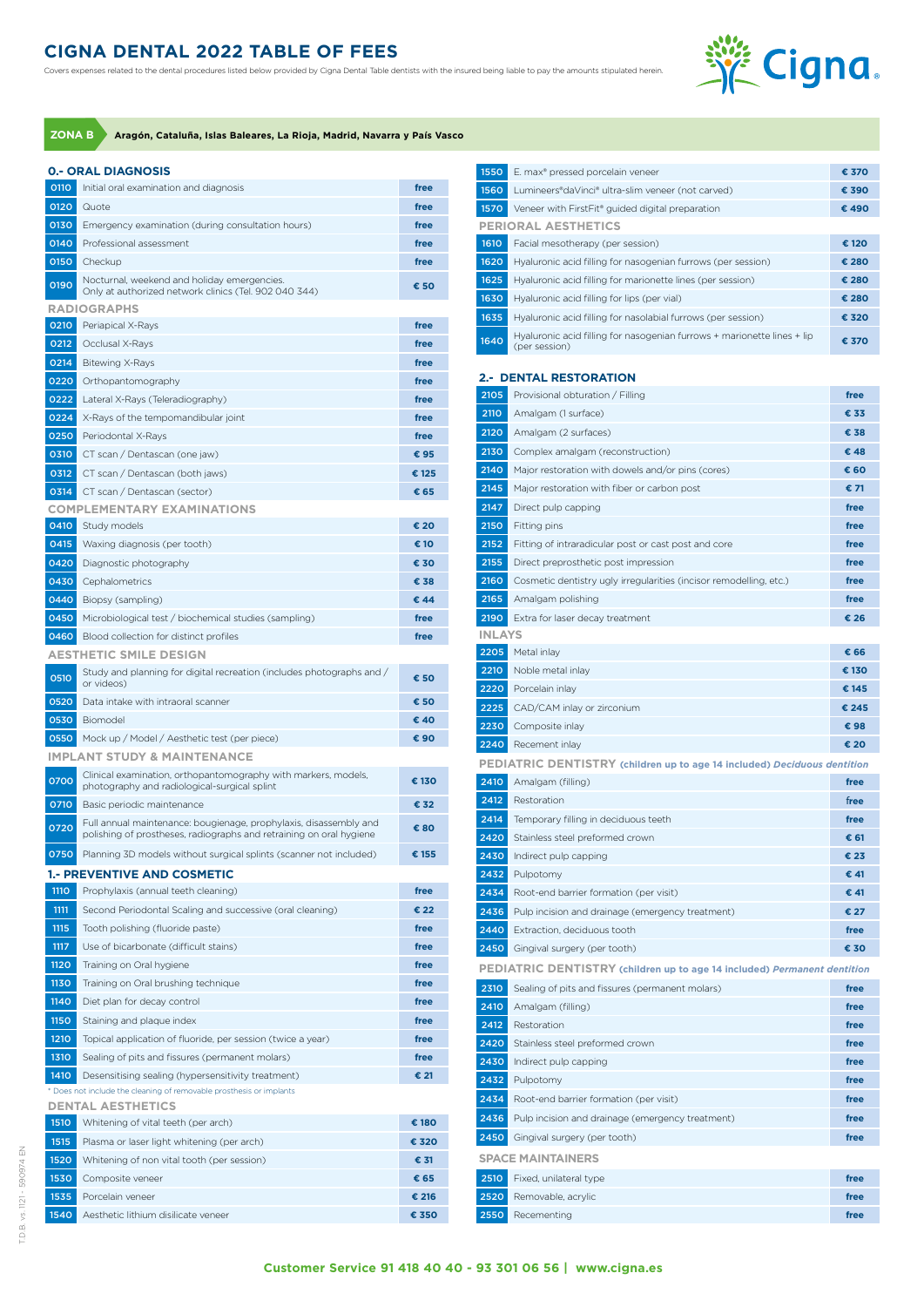## **CIGNA DENTAL 2022 TABLE OF FEES**

Covers expenses related to the dental procedures listed below provided by Cigna Dental Table dentists with the insured being liable to pay the amounts stipulated herein.



**ZONA B Aragón, Cataluña, Islas Baleares, La Rioja, Madrid, Navarra y País Vasco**

| <b>0.- ORAL DIAGNOSIS</b> |                                                                                                                                          |       |
|---------------------------|------------------------------------------------------------------------------------------------------------------------------------------|-------|
| 0110                      | Initial oral examination and diagnosis                                                                                                   | free  |
| 0120                      | Quote                                                                                                                                    | free  |
| 0130                      | Emergency examination (during consultation hours)                                                                                        | free  |
| 0140                      | Professional assessment                                                                                                                  | free  |
| 0150                      | Checkup                                                                                                                                  | free  |
| 0190                      | Nocturnal, weekend and holiday emergencies.<br>Only at authorized network clinics (Tel. 902 040 344)                                     | € 50  |
|                           | <b>RADIOGRAPHS</b>                                                                                                                       |       |
| 0210                      | Periapical X-Rays                                                                                                                        | free  |
| 0212                      | Occlusal X-Rays                                                                                                                          | free  |
| 0214                      | <b>Bitewing X-Rays</b>                                                                                                                   | free  |
| 0220                      | Orthopantomography                                                                                                                       | free  |
| 0222                      | Lateral X-Rays (Teleradiography)                                                                                                         | free  |
| 0224                      | X-Rays of the tempomandibular joint                                                                                                      | free  |
| 0250                      | Periodontal X-Rays                                                                                                                       | free  |
| 0310                      | CT scan / Dentascan (one jaw)                                                                                                            | € 95  |
| 0312                      | CT scan / Dentascan (both jaws)                                                                                                          | € 125 |
| 0314                      | CT scan / Dentascan (sector)                                                                                                             | € 65  |
|                           | <b>COMPLEMENTARY EXAMINATIONS</b>                                                                                                        |       |
| 0410                      | Study models                                                                                                                             | € 20  |
| 0415                      | Waxing diagnosis (per tooth)                                                                                                             | € 10  |
| 0420                      | Diagnostic photography                                                                                                                   | € 30  |
| 0430                      | Cephalometrics                                                                                                                           | € 38  |
| 0440                      | Biopsy (sampling)                                                                                                                        | € 44  |
| 0450                      | Microbiological test / biochemical studies (sampling)                                                                                    | free  |
| 0460                      | Blood collection for distinct profiles                                                                                                   | free  |
|                           | <b>AESTHETIC SMILE DESIGN</b>                                                                                                            |       |
|                           | Study and planning for digital recreation (includes photographs and /                                                                    |       |
| 0510                      | or videos)                                                                                                                               | € 50  |
| 0520                      | Data intake with intraoral scanner                                                                                                       | € 50  |
| 0530                      | Biomodel                                                                                                                                 | € 40  |
| 0550                      | Mock up / Model / Aesthetic test (per piece)                                                                                             | € 90  |
|                           | <b>IMPLANT STUDY &amp; MAINTENANCE</b>                                                                                                   |       |
| 0700                      | Clinical examination, orthopantomography with markers, models,<br>photography and radiological-surgical splint                           | € 130 |
| 0710                      | Basic periodic maintenance                                                                                                               | € 32  |
| 0720                      | Full annual maintenance: bougienage, prophylaxis, disassembly and<br>polishing of prostheses, radiographs and retraining on oral hygiene | €80   |
| 0750                      | Planning 3D models without surgical splints (scanner not included)                                                                       | € 155 |
|                           | <b>1.- PREVENTIVE AND COSMETIC</b>                                                                                                       |       |
| <b>1110</b>               | Prophylaxis (annual teeth cleaning)                                                                                                      | free  |
| 1111                      | Second Periodontal Scaling and successive (oral cleaning)                                                                                | € 22  |
| 1115                      | Tooth polishing (fluoride paste)                                                                                                         | free  |
| 1117                      | Use of bicarbonate (difficult stains)                                                                                                    | free  |
| 1120                      | Training on Oral hygiene                                                                                                                 | free  |
| <b>1130</b>               | Training on Oral brushing technique                                                                                                      | free  |
| 1140                      | Diet plan for decay control                                                                                                              | free  |
| 1150                      | Staining and plaque index                                                                                                                | free  |
| 1210                      | Topical application of fluoride, per session (twice a year)                                                                              | free  |
| 1310                      | Sealing of pits and fissures (permanent molars)                                                                                          | free  |
| 1410                      | Desensitising sealing (hypersensitivity treatment)                                                                                       | € 21  |
|                           | * Does not include the cleaning of removable prosthesis or implants                                                                      |       |
|                           | <b>DENTAL AESTHETICS</b>                                                                                                                 |       |
| 1510                      | Whitening of vital teeth (per arch)                                                                                                      | € 180 |
| 1515                      | Plasma or laser light whitening (per arch)                                                                                               | € 320 |
| 1520                      | Whitening of non vital tooth (per session)                                                                                               | € 31  |
| 1530                      | Composite veneer                                                                                                                         | € 65  |
| 1535                      | Porcelain veneer                                                                                                                         | € 216 |
| 1540                      | Aesthetic lithium disilicate veneer                                                                                                      | € 350 |

| 1550         | E. max® pressed porcelain veneer                                                                          | € 370          |
|--------------|-----------------------------------------------------------------------------------------------------------|----------------|
| 1560         | Lumineers®daVinci® ultra-slim veneer (not carved)                                                         | € 390          |
| 1570         | Veneer with FirstFit® guided digital preparation                                                          | € 490          |
|              | <b>PERIORAL AESTHETICS</b>                                                                                |                |
| 1610         | Facial mesotherapy (per session)                                                                          | € 120          |
| 1620         | Hyaluronic acid filling for nasogenian furrows (per session)                                              | € 280          |
| 1625<br>1630 | Hyaluronic acid filling for marionette lines (per session)<br>Hyaluronic acid filling for lips (per vial) | € 280<br>€ 280 |
| 1635         | Hyaluronic acid filling for nasolabial furrows (per session)                                              | € 320          |
|              | Hyaluronic acid filling for nasogenian furrows + marionette lines + lip                                   |                |
| 1640         | (per session)                                                                                             | € 370          |
|              | 2.- DENTAL RESTORATION                                                                                    |                |
| 2105         | Provisional obturation / Filling                                                                          | free           |
| 2110         | Amalgam (1 surface)                                                                                       | € 33           |
| 2120         | Amalgam (2 surfaces)                                                                                      | € 38           |
| 2130         | Complex amalgam (reconstruction)                                                                          | € 48           |
| 2140         | Major restoration with dowels and/or pins (cores)                                                         | € 60           |
| 2145         | Major restoration with fiber or carbon post                                                               | € 71           |
| 2147         | Direct pulp capping                                                                                       | free           |
| 2150         | Fitting pins                                                                                              | free           |
| 2152         | Fitting of intraradicular post or cast post and core                                                      | free           |
| 2155         | Direct preprosthetic post impression                                                                      | free           |
| 2160         | Cosmetic dentistry ugly irregularities (incisor remodelling, etc.)                                        | free           |
| 2165         | Amalgam polishing                                                                                         | free           |
| 2190         | Extra for laser decay treatment                                                                           | € 26           |
| INLAYS       |                                                                                                           |                |
| 2205         | Metal inlay                                                                                               | € 66           |
| 2210<br>2220 | Noble metal inlay<br>Porcelain inlay                                                                      | € 130<br>€ 145 |
| 2225         | CAD/CAM inlay or zirconium                                                                                | € 245          |
| 2230         | Composite inlay                                                                                           | € 98           |
| 2240         | Recement inlay                                                                                            | € 20           |
|              | PEDIATRIC DENTISTRY (children up to age 14 included) Deciduous dentition                                  |                |
| 2410         | Amalgam (filling)                                                                                         | free           |
| 2412         | Restoration                                                                                               | free           |
| 2414         | Temporary filling in deciduous teeth                                                                      | free           |
| 2420         | Stainless steel preformed crown                                                                           | € 61           |
| 2430         | Indirect pulp capping                                                                                     | € 23           |
| 2432         | Pulpotomy                                                                                                 | € 41           |
| 2434         | Root-end barrier formation (per visit)                                                                    | € 41           |
| 2436         | Pulp incision and drainage (emergency treatment)                                                          | € 27           |
| 2440         | Extraction, deciduous tooth                                                                               | free           |
| 2450         | Gingival surgery (per tooth)                                                                              | € 30           |
|              | PEDIATRIC DENTISTRY (children up to age 14 included) Permanent dentition                                  |                |
| 2310         | Sealing of pits and fissures (permanent molars)                                                           | free           |
| 2410<br>2412 | Amalgam (filling)<br>Restoration                                                                          | free<br>free   |
| 2420         | Stainless steel preformed crown                                                                           | free           |
| 2430         | Indirect pulp capping                                                                                     | free           |
| 2432         | Pulpotomy                                                                                                 | free           |
| 2434         | Root-end barrier formation (per visit)                                                                    | free           |
| 2436         | Pulp incision and drainage (emergency treatment)                                                          | free           |
| 2450         | Gingival surgery (per tooth)                                                                              | free           |
|              | <b>SPACE MAINTAINERS</b>                                                                                  |                |
| 2510         | Fixed, unilateral type                                                                                    | free           |
| 2520         | Removable, acrylic                                                                                        | free           |
| 2550         | Recementing                                                                                               | free           |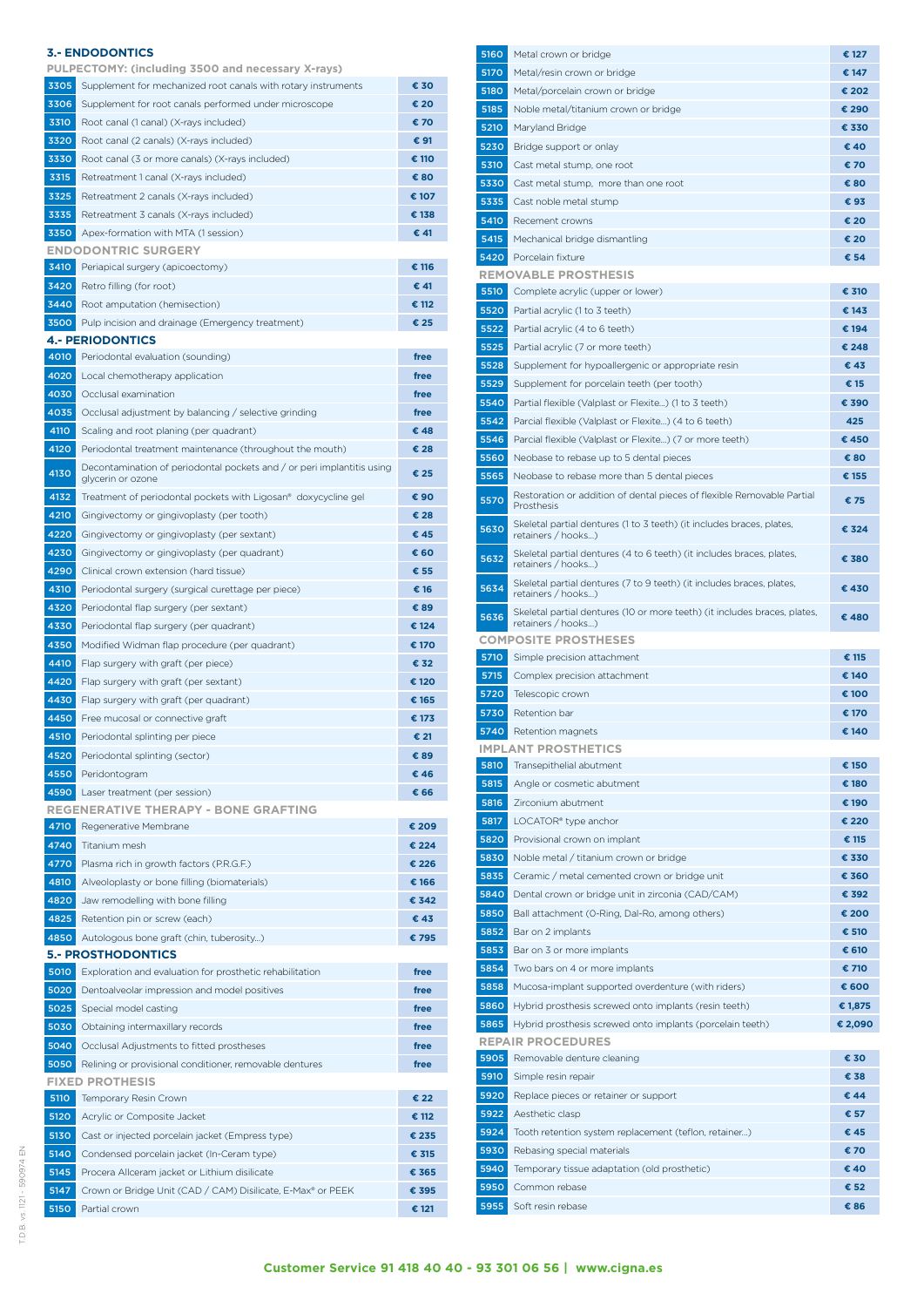|             | 3.- ENDODONTICS                                                                             |       |
|-------------|---------------------------------------------------------------------------------------------|-------|
|             | PULPECTOMY: (including 3500 and necessary X-rays)                                           |       |
| 3305        | Supplement for mechanized root canals with rotary instruments                               | € 30  |
| 3306        | Supplement for root canals performed under microscope                                       | € 20  |
| 3310        | Root canal (1 canal) (X-rays included)                                                      | € 70  |
| 3320        | Root canal (2 canals) (X-rays included)                                                     | € 91  |
| 3330        | Root canal (3 or more canals) (X-rays included)                                             | € 110 |
| 3315        | Retreatment 1 canal (X-rays included)                                                       | € 80  |
| 3325        | Retreatment 2 canals (X-rays included)                                                      | € 107 |
| 3335        | Retreatment 3 canals (X-rays included)                                                      | € 138 |
| 3350        | Apex-formation with MTA (1 session)                                                         | € 41  |
|             | <b>ENDODONTRIC SURGERY</b>                                                                  |       |
| 3410        | Periapical surgery (apicoectomy)                                                            | € 116 |
| 3420        | Retro filling (for root)                                                                    | € 41  |
|             |                                                                                             |       |
| 3440        | Root amputation (hemisection)                                                               | € 112 |
| 3500        | Pulp incision and drainage (Emergency treatment)                                            | € 25  |
|             | <b>4.- PERIODONTICS</b>                                                                     |       |
| 4010        | Periodontal evaluation (sounding)                                                           | free  |
| 4020        | Local chemotherapy application                                                              | free  |
| 4030        | Occlusal examination                                                                        | free  |
| 4035        | Occlusal adjustment by balancing / selective grinding                                       | free  |
| 4110        | Scaling and root planing (per quadrant)                                                     | € 48  |
| 4120        | Periodontal treatment maintenance (throughout the mouth)                                    | € 28  |
| 4130        | Decontamination of periodontal pockets and / or peri implantitis using<br>glycerin or ozone | € 25  |
| 4132        | Treatment of periodontal pockets with Ligosan® doxycycline gel                              | € 90  |
| 4210        | Gingivectomy or gingivoplasty (per tooth)                                                   | € 28  |
| 4220        | Gingivectomy or gingivoplasty (per sextant)                                                 | € 45  |
| 4230        | Gingivectomy or gingivoplasty (per quadrant)                                                | € 60  |
| 4290        | Clinical crown extension (hard tissue)                                                      | € 55  |
| 4310        |                                                                                             |       |
|             | Periodontal surgery (surgical curettage per piece)                                          | € 16  |
| 4320        | Periodontal flap surgery (per sextant)                                                      | € 89  |
| 4330        | Periodontal flap surgery (per quadrant)                                                     | € 124 |
| 4350        | Modified Widman flap procedure (per quadrant)                                               | € 170 |
| 4410        | Flap surgery with graft (per piece)                                                         | € 32  |
| 4420        | Flap surgery with graft (per sextant)                                                       | € 120 |
| 4430        | Flap surgery with graft (per quadrant)                                                      | € 165 |
| 4450        | Free mucosal or connective graft                                                            | € 173 |
| 4510        | Periodontal splinting per piece                                                             | € 21  |
| 4520        | Periodontal splinting (sector)                                                              | € 89  |
| 4550        | Peridontogram                                                                               | € 46  |
| 4590        | Laser treatment (per session)                                                               | € 66  |
|             | <b>REGENERATIVE THERAPY - BONE GRAFTING</b>                                                 |       |
| 4710        | Regenerative Membrane                                                                       | € 209 |
| 4740        | Titanium mesh                                                                               | € 224 |
| 4770        | Plasma rich in growth factors (P.R.G.F.)                                                    | € 226 |
| 4810        | Alveoloplasty or bone filling (biomaterials)                                                | € 166 |
| 4820        | Jaw remodelling with bone filling                                                           | € 342 |
| 4825        | Retention pin or screw (each)                                                               | €43   |
| 4850        | Autologous bone graft (chin, tuberosity)                                                    | €795  |
|             | <b>5.- PROSTHODONTICS</b>                                                                   |       |
| 5010        | Exploration and evaluation for prosthetic rehabilitation                                    | free  |
| 5020        | Dentoalveolar impression and model positives                                                | free  |
| 5025        | Special model casting                                                                       | free  |
| 5030        | Obtaining intermaxillary records                                                            | free  |
| 5040        | Occlusal Adjustments to fitted prostheses                                                   | free  |
| 5050        | Relining or provisional conditioner, removable dentures                                     | free  |
|             | FIXED PROTHESIS                                                                             |       |
| 5110        | Temporary Resin Crown                                                                       | € 22  |
| 5120        | Acrylic or Composite Jacket                                                                 | € 112 |
| 5130        | Cast or injected porcelain jacket (Empress type)                                            | € 235 |
| 5140        | Condensed porcelain jacket (In-Ceram type)                                                  | € 315 |
| 5145        | Procera Allceram jacket or Lithium disilicate                                               | € 365 |
| 5147        | Crown or Bridge Unit (CAD / CAM) Disilicate, E-Max® or PEEK                                 | € 395 |
| <b>5150</b> | Partial crown                                                                               | € 121 |

| 5160         | Metal crown or bridge                                                                                          | € 127          |
|--------------|----------------------------------------------------------------------------------------------------------------|----------------|
| 5170         | Metal/resin crown or bridge                                                                                    | € 147          |
| 5180         | Metal/porcelain crown or bridge                                                                                | € 202          |
| 5185         | Noble metal/titanium crown or bridge                                                                           | € 290          |
| 5210         | Maryland Bridge                                                                                                | € 330          |
| 5230         | Bridge support or onlay                                                                                        | € 40           |
| 5310         | Cast metal stump, one root                                                                                     | € 70           |
| 5330         | Cast metal stump, more than one root                                                                           | € 80           |
| 5335         | Cast noble metal stump                                                                                         | € 93           |
| 5410         | Recement crowns                                                                                                | € 20           |
| 5415         | Mechanical bridge dismantling                                                                                  | € 20           |
| 5420         | Porcelain fixture                                                                                              | € 54           |
|              | <b>REMOVABLE PROSTHESIS</b>                                                                                    |                |
| 5510         | Complete acrylic (upper or lower)                                                                              | € 310          |
| 5520         | Partial acrylic (1 to 3 teeth)                                                                                 | € 143          |
| 5522         | Partial acrylic (4 to 6 teeth)                                                                                 | € 194<br>€ 248 |
| 5525<br>5528 | Partial acrylic (7 or more teeth)                                                                              | € 43           |
| 5529         | Supplement for hypoallergenic or appropriate resin<br>Supplement for porcelain teeth (per tooth)               | € 15           |
|              |                                                                                                                | € 390          |
| 5540<br>5542 | Partial flexible (Valplast or Flexite) (1 to 3 teeth)<br>Parcial flexible (Valplast or Flexite) (4 to 6 teeth) | 425            |
| 5546         | Parcial flexible (Valplast or Flexite) (7 or more teeth)                                                       | €450           |
| 5560         | Neobase to rebase up to 5 dental pieces                                                                        | € 80           |
| 5565         | Neobase to rebase more than 5 dental pieces                                                                    | € 155          |
| 5570         | Restoration or addition of dental pieces of flexible Removable Partial<br>Prosthesis                           | € 75           |
| 5630         | Skeletal partial dentures (1 to 3 teeth) (it includes braces, plates,                                          | € 324          |
| 5632         | retainers / hooks)<br>Skeletal partial dentures (4 to 6 teeth) (it includes braces, plates,                    | € 380          |
| 5634         | retainers / hooks)<br>Skeletal partial dentures (7 to 9 teeth) (it includes braces, plates,                    | € 430          |
| 5636         | retainers / hooks)<br>Skeletal partial dentures (10 or more teeth) (it includes braces, plates,                | € 480          |
|              | retainers / hooks)<br><b>COMPOSITE PROSTHESES</b>                                                              |                |
| 5710         | Simple precision attachment                                                                                    | € 115          |
| 5715         | Complex precision attachment                                                                                   | € 140          |
| 5720         | Telescopic crown                                                                                               | € 100          |
| 5730         | Retention bar                                                                                                  | € 170          |
| 5740         | Retention magnets                                                                                              | € 140          |
|              | <b>IMPLANT PROSTHETICS</b>                                                                                     |                |
| 5810         | Transepithelial abutment                                                                                       | € 150          |
| 5815         | Angle or cosmetic abutment                                                                                     | € 180          |
| 5816         | Zirconium abutment                                                                                             | € 190          |
| 5817         | LOCATOR <sup>®</sup> type anchor                                                                               | € 220          |
| 5820         | Provisional crown on implant                                                                                   | € 115          |
| 5830         | Noble metal / titanium crown or bridge                                                                         | € 330          |
| 5835         | Ceramic / metal cemented crown or bridge unit                                                                  | € 360          |
| 5840         | Dental crown or bridge unit in zirconia (CAD/CAM)                                                              | € 392          |
| 5850         | Ball attachment (0-Ring, Dal-Ro, among others)                                                                 | € 200          |
| 5852         | Bar on 2 implants                                                                                              | € 510          |
| 5853         | Bar on 3 or more implants                                                                                      | € 610          |
| 5854         | Two bars on 4 or more implants                                                                                 | € 710          |
| 5858         | Mucosa-implant supported overdenture (with riders)                                                             | € 600          |
| 5860         | Hybrid prosthesis screwed onto implants (resin teeth)                                                          | € 1,875        |
| 5865         | Hybrid prosthesis screwed onto implants (porcelain teeth)                                                      | € 2,090        |
| 5905         | <b>REPAIR PROCEDURES</b><br>Removable denture cleaning                                                         | € 30           |
| 5910         | Simple resin repair                                                                                            | € 38           |
| 5920         | Replace pieces or retainer or support                                                                          | € 44           |
| 5922         | Aesthetic clasp                                                                                                | € 57           |
| 5924         | Tooth retention system replacement (teflon, retainer)                                                          | € 45           |
| 5930         | Rebasing special materials                                                                                     | € 70           |
| 5940         | Temporary tissue adaptation (old prosthetic)                                                                   | € 40           |
| 5950         | Common rebase                                                                                                  | € 52           |
| 5955         | Soft resin rebase                                                                                              | € 86           |
|              |                                                                                                                |                |